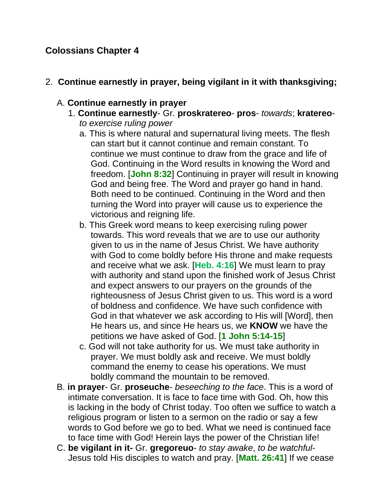# **Colossians Chapter 4**

#### 2. **Continue earnestly in prayer, being vigilant in it with thanksgiving;**

### A. **Continue earnestly in prayer**

- 1. **Continue earnestly** Gr. **proskratereo pros** *towards*; **kratereo***to exercise ruling power*
	- a. This is where natural and supernatural living meets. The flesh can start but it cannot continue and remain constant. To continue we must continue to draw from the grace and life of God. Continuing in the Word results in knowing the Word and freedom. [**John 8:32**] Continuing in prayer will result in knowing God and being free. The Word and prayer go hand in hand. Both need to be continued. Continuing in the Word and then turning the Word into prayer will cause us to experience the victorious and reigning life.
	- b. This Greek word means to keep exercising ruling power towards. This word reveals that we are to use our authority given to us in the name of Jesus Christ. We have authority with God to come boldly before His throne and make requests and receive what we ask. [**Heb. 4:16**] We must learn to pray with authority and stand upon the finished work of Jesus Christ and expect answers to our prayers on the grounds of the righteousness of Jesus Christ given to us. This word is a word of boldness and confidence. We have such confidence with God in that whatever we ask according to His will [Word], then He hears us, and since He hears us, we **KNOW** we have the petitions we have asked of God. [**1 John 5:14-15**]
	- c. God will not take authority for us. We must take authority in prayer. We must boldly ask and receive. We must boldly command the enemy to cease his operations. We must boldly command the mountain to be removed.
- B. **in prayer** Gr. **proseuche** *beseeching to the face*. This is a word of intimate conversation. It is face to face time with God. Oh, how this is lacking in the body of Christ today. Too often we suffice to watch a religious program or listen to a sermon on the radio or say a few words to God before we go to bed. What we need is continued face to face time with God! Herein lays the power of the Christian life!
- C. **be vigilant in it-** Gr. **gregoreuo** *to stay awake*, *to be watchful*-Jesus told His disciples to watch and pray. [**Matt. 26:41**] If we cease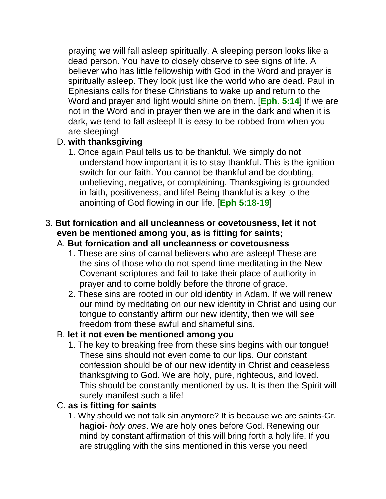praying we will fall asleep spiritually. A sleeping person looks like a dead person. You have to closely observe to see signs of life. A believer who has little fellowship with God in the Word and prayer is spiritually asleep. They look just like the world who are dead. Paul in Ephesians calls for these Christians to wake up and return to the Word and prayer and light would shine on them. [**Eph. 5:14**] If we are not in the Word and in prayer then we are in the dark and when it is dark, we tend to fall asleep! It is easy to be robbed from when you are sleeping!

### D. **with thanksgiving**

1. Once again Paul tells us to be thankful. We simply do not understand how important it is to stay thankful. This is the ignition switch for our faith. You cannot be thankful and be doubting, unbelieving, negative, or complaining. Thanksgiving is grounded in faith, positiveness, and life! Being thankful is a key to the anointing of God flowing in our life. [**Eph 5:18-19**]

# 3. **But fornication and all uncleanness or covetousness, let it not even be mentioned among you, as is fitting for saints;**

### A. **But fornication and all uncleanness or covetousness**

- 1. These are sins of carnal believers who are asleep! These are the sins of those who do not spend time meditating in the New Covenant scriptures and fail to take their place of authority in prayer and to come boldly before the throne of grace.
- 2. These sins are rooted in our old identity in Adam. If we will renew our mind by meditating on our new identity in Christ and using our tongue to constantly affirm our new identity, then we will see freedom from these awful and shameful sins.

# B. **let it not even be mentioned among you**

1. The key to breaking free from these sins begins with our tongue! These sins should not even come to our lips. Our constant confession should be of our new identity in Christ and ceaseless thanksgiving to God. We are holy, pure, righteous, and loved. This should be constantly mentioned by us. It is then the Spirit will surely manifest such a life!

# C. **as is fitting for saints**

1. Why should we not talk sin anymore? It is because we are saints-Gr. **hagioi**- *holy ones*. We are holy ones before God. Renewing our mind by constant affirmation of this will bring forth a holy life. If you are struggling with the sins mentioned in this verse you need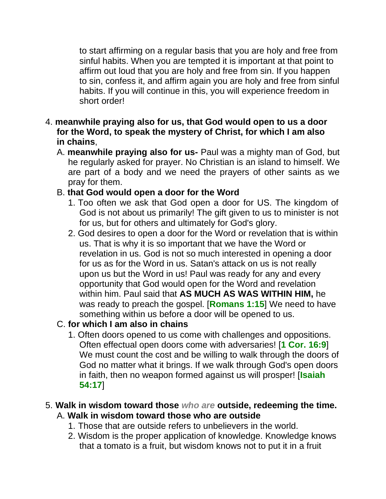to start affirming on a regular basis that you are holy and free from sinful habits. When you are tempted it is important at that point to affirm out loud that you are holy and free from sin. If you happen to sin, confess it, and affirm again you are holy and free from sinful habits. If you will continue in this, you will experience freedom in short order!

- 4. **meanwhile praying also for us, that God would open to us a door for the Word, to speak the mystery of Christ, for which I am also in chains**,
	- A. **meanwhile praying also for us-** Paul was a mighty man of God, but he regularly asked for prayer. No Christian is an island to himself. We are part of a body and we need the prayers of other saints as we pray for them.

#### B. **that God would open a door for the Word**

- 1. Too often we ask that God open a door for US. The kingdom of God is not about us primarily! The gift given to us to minister is not for us, but for others and ultimately for God's glory.
- 2. God desires to open a door for the Word or revelation that is within us. That is why it is so important that we have the Word or revelation in us. God is not so much interested in opening a door for us as for the Word in us. Satan's attack on us is not really upon us but the Word in us! Paul was ready for any and every opportunity that God would open for the Word and revelation within him. Paul said that **AS MUCH AS WAS WITHIN HIM,** he was ready to preach the gospel. [**Romans 1:15**] We need to have something within us before a door will be opened to us.

### C. **for which I am also in chains**

1. Often doors opened to us come with challenges and oppositions. Often effectual open doors come with adversaries! [**1 Cor. 16:9**] We must count the cost and be willing to walk through the doors of God no matter what it brings. If we walk through God's open doors in faith, then no weapon formed against us will prosper! [**Isaiah 54:17**]

#### 5. **Walk in wisdom toward those** *who are* **outside, redeeming the time.** A. **Walk in wisdom toward those who are outside**

- 1. Those that are outside refers to unbelievers in the world.
- 2. Wisdom is the proper application of knowledge. Knowledge knows that a tomato is a fruit, but wisdom knows not to put it in a fruit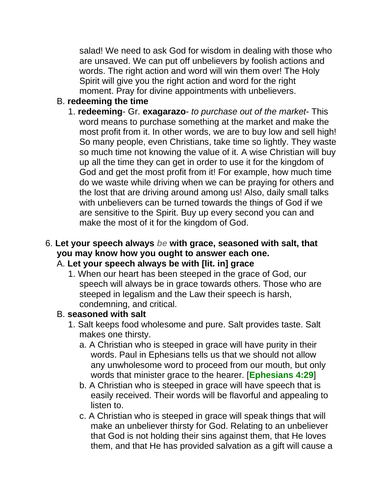salad! We need to ask God for wisdom in dealing with those who are unsaved. We can put off unbelievers by foolish actions and words. The right action and word will win them over! The Holy Spirit will give you the right action and word for the right moment. Pray for divine appointments with unbelievers.

### B. **redeeming the time**

1. **redeeming**- Gr. **exagarazo**- *to purchase out of the market*- This word means to purchase something at the market and make the most profit from it. In other words, we are to buy low and sell high! So many people, even Christians, take time so lightly. They waste so much time not knowing the value of it. A wise Christian will buy up all the time they can get in order to use it for the kingdom of God and get the most profit from it! For example, how much time do we waste while driving when we can be praying for others and the lost that are driving around among us! Also, daily small talks with unbelievers can be turned towards the things of God if we are sensitive to the Spirit. Buy up every second you can and make the most of it for the kingdom of God.

# 6. **Let your speech always** *be* **with grace, seasoned with salt, that you may know how you ought to answer each one.**

### A. **Let your speech always be with [lit. in] grace**

1. When our heart has been steeped in the grace of God, our speech will always be in grace towards others. Those who are steeped in legalism and the Law their speech is harsh, condemning, and critical.

### B. **seasoned with salt**

- 1. Salt keeps food wholesome and pure. Salt provides taste. Salt makes one thirsty.
	- a. A Christian who is steeped in grace will have purity in their words. Paul in Ephesians tells us that we should not allow any unwholesome word to proceed from our mouth, but only words that minister grace to the hearer. [**Ephesians 4:29**]
	- b. A Christian who is steeped in grace will have speech that is easily received. Their words will be flavorful and appealing to listen to.
	- c. A Christian who is steeped in grace will speak things that will make an unbeliever thirsty for God. Relating to an unbeliever that God is not holding their sins against them, that He loves them, and that He has provided salvation as a gift will cause a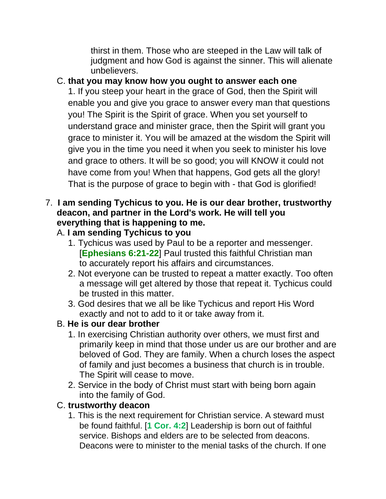thirst in them. Those who are steeped in the Law will talk of judgment and how God is against the sinner. This will alienate unbelievers.

# C. **that you may know how you ought to answer each one**

1. If you steep your heart in the grace of God, then the Spirit will enable you and give you grace to answer every man that questions you! The Spirit is the Spirit of grace. When you set yourself to understand grace and minister grace, then the Spirit will grant you grace to minister it. You will be amazed at the wisdom the Spirit will give you in the time you need it when you seek to minister his love and grace to others. It will be so good; you will KNOW it could not have come from you! When that happens, God gets all the glory! That is the purpose of grace to begin with - that God is glorified!

### 7. **I am sending Tychicus to you. He is our dear brother, trustworthy deacon, and partner in the Lord's work. He will tell you everything that is happening to me.**

### A. **I am sending Tychicus to you**

- 1. Tychicus was used by Paul to be a reporter and messenger. [**Ephesians 6:21-22**] Paul trusted this faithful Christian man to accurately report his affairs and circumstances.
- 2. Not everyone can be trusted to repeat a matter exactly. Too often a message will get altered by those that repeat it. Tychicus could be trusted in this matter.
- 3. God desires that we all be like Tychicus and report His Word exactly and not to add to it or take away from it.

### B. **He is our dear brother**

- 1. In exercising Christian authority over others, we must first and primarily keep in mind that those under us are our brother and are beloved of God. They are family. When a church loses the aspect of family and just becomes a business that church is in trouble. The Spirit will cease to move.
- 2. Service in the body of Christ must start with being born again into the family of God.

#### C. **trustworthy deacon**

1. This is the next requirement for Christian service. A steward must be found faithful. [**1 Cor. 4:2**] Leadership is born out of faithful service. Bishops and elders are to be selected from deacons. Deacons were to minister to the menial tasks of the church. If one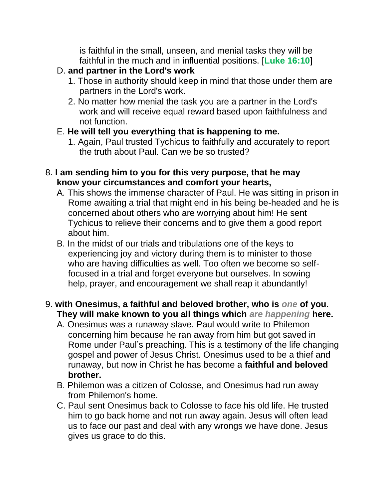is faithful in the small, unseen, and menial tasks they will be faithful in the much and in influential positions. [**Luke 16:10**]

# D. **and partner in the Lord's work**

- 1. Those in authority should keep in mind that those under them are partners in the Lord's work.
- 2. No matter how menial the task you are a partner in the Lord's work and will receive equal reward based upon faithfulness and not function.

### E. **He will tell you everything that is happening to me.**

1. Again, Paul trusted Tychicus to faithfully and accurately to report the truth about Paul. Can we be so trusted?

#### 8. **I am sending him to you for this very purpose, that he may know your circumstances and comfort your hearts,**

- A. This shows the immense character of Paul. He was sitting in prison in Rome awaiting a trial that might end in his being be-headed and he is concerned about others who are worrying about him! He sent Tychicus to relieve their concerns and to give them a good report about him.
- B. In the midst of our trials and tribulations one of the keys to experiencing joy and victory during them is to minister to those who are having difficulties as well. Too often we become so selffocused in a trial and forget everyone but ourselves. In sowing help, prayer, and encouragement we shall reap it abundantly!

### 9. **with Onesimus, a faithful and beloved brother, who is** *one* **of you. They will make known to you all things which** *are happening* **here.**

- A. Onesimus was a runaway slave. Paul would write to Philemon concerning him because he ran away from him but got saved in Rome under Paul's preaching. This is a testimony of the life changing gospel and power of Jesus Christ. Onesimus used to be a thief and runaway, but now in Christ he has become a **faithful and beloved brother.**
- B. Philemon was a citizen of Colosse, and Onesimus had run away from Philemon's home.
- C. Paul sent Onesimus back to Colosse to face his old life. He trusted him to go back home and not run away again. Jesus will often lead us to face our past and deal with any wrongs we have done. Jesus gives us grace to do this.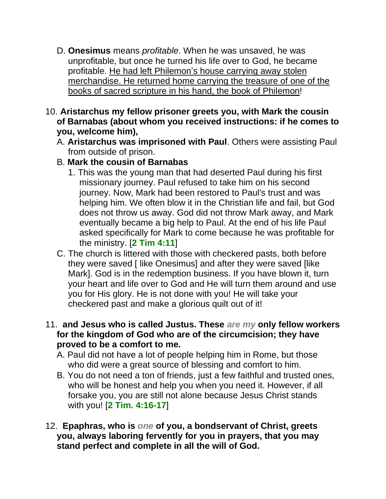- D. **Onesimus** means *profitable*. When he was unsaved, he was unprofitable, but once he turned his life over to God, he became profitable. He had left Philemon's house carrying away stolen merchandise. He returned home carrying the treasure of one of the books of sacred scripture in his hand, the book of Philemon!
- 10. **Aristarchus my fellow prisoner greets you, with Mark the cousin of Barnabas (about whom you received instructions: if he comes to you, welcome him),**
	- A. **Aristarchus was imprisoned with Paul**. Others were assisting Paul from outside of prison.
	- B. **Mark the cousin of Barnabas**
		- 1. This was the young man that had deserted Paul during his first missionary journey. Paul refused to take him on his second journey. Now, Mark had been restored to Paul's trust and was helping him. We often blow it in the Christian life and fail, but God does not throw us away. God did not throw Mark away, and Mark eventually became a big help to Paul. At the end of his life Paul asked specifically for Mark to come because he was profitable for the ministry. [**2 Tim 4:11**]
	- C. The church is littered with those with checkered pasts, both before they were saved [ like Onesimus] and after they were saved [like Mark]. God is in the redemption business. If you have blown it, turn your heart and life over to God and He will turn them around and use you for His glory. He is not done with you! He will take your checkered past and make a glorious quilt out of it!
- 11. **and Jesus who is called Justus. These** *are my* **only fellow workers for the kingdom of God who are of the circumcision; they have proved to be a comfort to me.**
	- A. Paul did not have a lot of people helping him in Rome, but those who did were a great source of blessing and comfort to him.
	- B. You do not need a ton of friends, just a few faithful and trusted ones, who will be honest and help you when you need it. However, if all forsake you, you are still not alone because Jesus Christ stands with you! [**2 Tim. 4:16-17**]
- 12. **Epaphras, who is** *one* **of you, a bondservant of Christ, greets you, always laboring fervently for you in prayers, that you may stand perfect and complete in all the will of God.**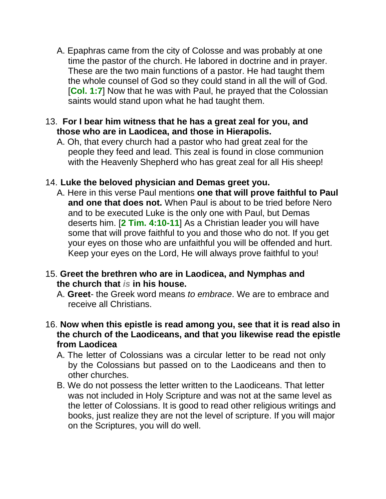A. Epaphras came from the city of Colosse and was probably at one time the pastor of the church. He labored in doctrine and in prayer. These are the two main functions of a pastor. He had taught them the whole counsel of God so they could stand in all the will of God. [**Col. 1:7**] Now that he was with Paul, he prayed that the Colossian saints would stand upon what he had taught them.

#### 13. **For I bear him witness that he has a great zeal for you, and those who are in Laodicea, and those in Hierapolis.**

A. Oh, that every church had a pastor who had great zeal for the people they feed and lead. This zeal is found in close communion with the Heavenly Shepherd who has great zeal for all His sheep!

#### 14. **Luke the beloved physician and Demas greet you.**

A. Here in this verse Paul mentions **one that will prove faithful to Paul and one that does not.** When Paul is about to be tried before Nero and to be executed Luke is the only one with Paul, but Demas deserts him. [**2 Tim. 4:10-11**] As a Christian leader you will have some that will prove faithful to you and those who do not. If you get your eyes on those who are unfaithful you will be offended and hurt. Keep your eyes on the Lord, He will always prove faithful to you!

#### 15. **Greet the brethren who are in Laodicea, and Nymphas and the church that** *is* **in his house.**

- A. **Greet** the Greek word means *to embrace*. We are to embrace and receive all Christians.
- 16. **Now when this epistle is read among you, see that it is read also in the church of the Laodiceans, and that you likewise read the epistle from Laodicea**
	- A. The letter of Colossians was a circular letter to be read not only by the Colossians but passed on to the Laodiceans and then to other churches.
	- B. We do not possess the letter written to the Laodiceans. That letter was not included in Holy Scripture and was not at the same level as the letter of Colossians. It is good to read other religious writings and books, just realize they are not the level of scripture. If you will major on the Scriptures, you will do well.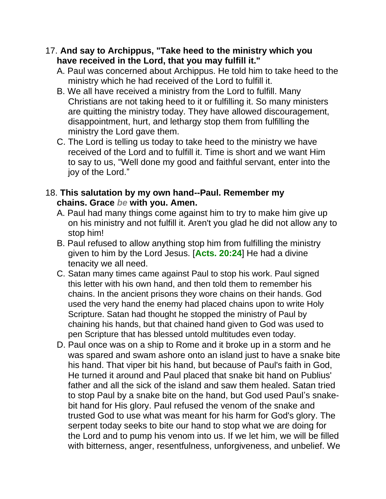- 17. **And say to Archippus, "Take heed to the ministry which you have received in the Lord, that you may fulfill it."**
	- A. Paul was concerned about Archippus. He told him to take heed to the ministry which he had received of the Lord to fulfill it.
	- B. We all have received a ministry from the Lord to fulfill. Many Christians are not taking heed to it or fulfilling it. So many ministers are quitting the ministry today. They have allowed discouragement, disappointment, hurt, and lethargy stop them from fulfilling the ministry the Lord gave them.
	- C. The Lord is telling us today to take heed to the ministry we have received of the Lord and to fulfill it. Time is short and we want Him to say to us, "Well done my good and faithful servant, enter into the joy of the Lord."

#### 18. **This salutation by my own hand--Paul. Remember my chains. Grace** *be* **with you. Amen.**

- A. Paul had many things come against him to try to make him give up on his ministry and not fulfill it. Aren't you glad he did not allow any to stop him!
- B. Paul refused to allow anything stop him from fulfilling the ministry given to him by the Lord Jesus. [**Acts. 20:24**] He had a divine tenacity we all need.
- C. Satan many times came against Paul to stop his work. Paul signed this letter with his own hand, and then told them to remember his chains. In the ancient prisons they wore chains on their hands. God used the very hand the enemy had placed chains upon to write Holy Scripture. Satan had thought he stopped the ministry of Paul by chaining his hands, but that chained hand given to God was used to pen Scripture that has blessed untold multitudes even today.
- D. Paul once was on a ship to Rome and it broke up in a storm and he was spared and swam ashore onto an island just to have a snake bite his hand. That viper bit his hand, but because of Paul's faith in God, He turned it around and Paul placed that snake bit hand on Publius' father and all the sick of the island and saw them healed. Satan tried to stop Paul by a snake bite on the hand, but God used Paul's snakebit hand for His glory. Paul refused the venom of the snake and trusted God to use what was meant for his harm for God's glory. The serpent today seeks to bite our hand to stop what we are doing for the Lord and to pump his venom into us. If we let him, we will be filled with bitterness, anger, resentfulness, unforgiveness, and unbelief. We